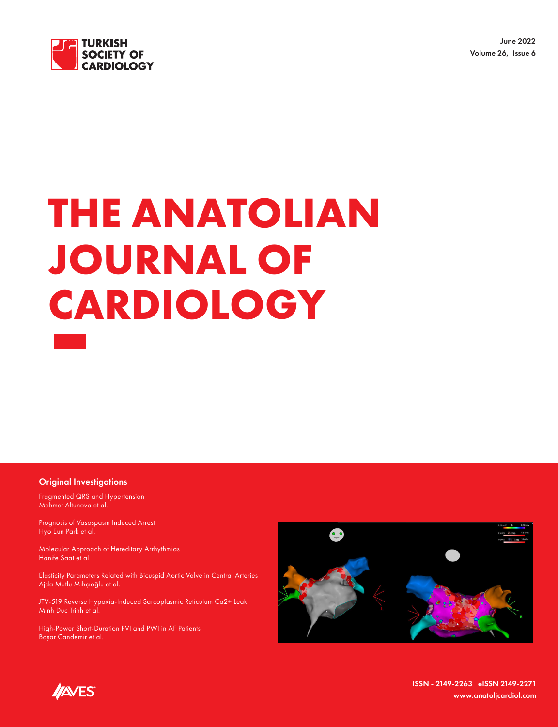

June 2022 Volume 26, Issue 6

# **THE ANATOLIAN JOURNAL OF CARDIOLOGY**

#### Original Investigations

Fragmented QRS and Hypertension Mehmet Altunova et al.

Prognosis of Vasospasm Induced Arrest Hyo Eun Park et al.

Molecular Approach of Hereditary Arrhythmias Hanife Saat et al.

Elasticity Parameters Related with Bicuspid Aortic Valve in Central Arteries Ajda Mutlu Mıhçıoğlu et al.

JTV-519 Reverse Hypoxia-Induced Sarcoplasmic Reticulum Ca2+ Leak Minh Duc Trinh et al.

High-Power Short-Duration PVI and PWI in AF Patients Başar Candemir et al.





ISSN - 2149-2263 eISSN 2149-2271 www.anatoljcardiol.com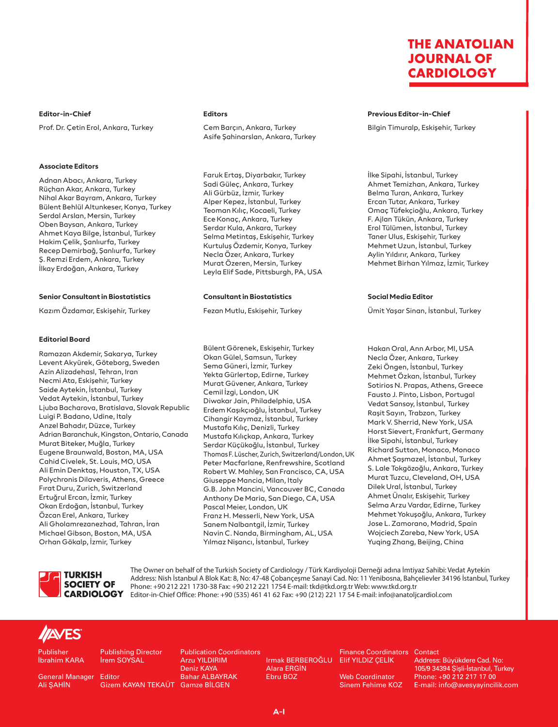**Editor-in-Chief** Prof. Dr. Çetin Erol, Ankara, Turkey

#### **Associate Editors**

Adnan Abacı, Ankara, Turkey Rüçhan Akar, Ankara, Turkey Nihal Akar Bayram, Ankara, Turkey Bülent Behlül Altunkeser, Konya, Turkey Serdal Arslan, Mersin, Turkey Oben Baysan, Ankara, Turkey Ahmet Kaya Bilge, İstanbul, Turkey Hakim Çelik, Şanlıurfa, Turkey Recep Demirbağ, Şanlıurfa, Turkey Ş. Remzi Erdem, Ankara, Turkey İlkay Erdoğan, Ankara, Turkey

#### **Senior Consultant in Biostatistics**

Kazım Özdamar, Eskişehir, Turkey

#### **Editorial Board**

Ramazan Akdemir, Sakarya, Turkey Levent Akyürek, Göteborg, Sweden Azin Alizadehasl, Tehran, Iran Necmi Ata, Eskişehir, Turkey Saide Aytekin, İstanbul, Turkey Vedat Aytekin, İstanbul, Turkey Ljuba Bacharova, Bratislava, Slovak Republic Luigi P. Badano, Udine, Italy Anzel Bahadır, Düzce, Turkey Adrian Baranchuk, Kingston, Ontario, Canada Murat Biteker, Muğla, Turkey Eugene Braunwald, Boston, MA, USA Cahid Civelek, St. Louis, MO, USA Ali Emin Denktaş, Houston, TX, USA Polychronis Dilaveris, Athens, Greece Fırat Duru, Zurich, Switzerland Ertuğrul Ercan, İzmir, Turkey Okan Erdoğan, İstanbul, Turkey Özcan Erel, Ankara, Turkey Ali Gholamrezanezhad, Tahran, İran Michael Gibson, Boston, MA, USA Orhan Gökalp, İzmir, Turkey

#### **Editors**

Cem Barçın, Ankara, Turkey Asife Şahinarslan, Ankara, Turkey

Faruk Ertaş, Diyarbakır, Turkey Sadi Güleç, Ankara, Turkey Ali Gürbüz, İzmir, Turkey Alper Kepez, İstanbul, Turkey Teoman Kılıç, Kocaeli, Turkey Ece Konaç, Ankara, Turkey Serdar Kula, Ankara, Turkey Selma Metintaş, Eskişehir, Turkey Kurtuluş Özdemir, Konya, Turkey Necla Özer, Ankara, Turkey Murat Özeren, Mersin, Turkey Leyla Elif Sade, Pittsburgh, PA, USA

#### **Consultant in Biostatistics**

Fezan Mutlu, Eskişehir, Turkey

Bülent Görenek, Eskişehir, Turkey Okan Gülel, Samsun, Turkey Sema Güneri, İzmir, Turkey Yekta Gürlertop, Edirne, Turkey Murat Güvener, Ankara, Turkey Cemil İzgi, London, UK Diwakar Jain, Philadelphia, USA Erdem Kaşıkçıoğlu, İstanbul, Turkey Cihangir Kaymaz, İstanbul, Turkey Mustafa Kılıç, Denizli, Turkey Mustafa Kılıçkap, Ankara, Turkey Serdar Küçükoğlu, İstanbul, Turkey Thomas F. Lüscher, Zurich, Switzerland/London, UK Peter Macfarlane, Renfrewshire, Scotland Robert W. Mahley, San Francisco, CA, USA Giuseppe Mancia, Milan, Italy G.B. John Mancini, Vancouver BC, Canada Anthony De Maria, San Diego, CA, USA Pascal Meier, London, UK Franz H. Messerli, New York, USA Sanem Nalbantgil, İzmir, Turkey Navin C. Nanda, Birmingham, AL, USA Yılmaz Nişancı, İstanbul, Turkey

#### **Previous Editor-in-Chief**

Bilgin Timuralp, Eskişehir, Turkey

İlke Sipahi, İstanbul, Turkey Ahmet Temizhan, Ankara, Turkey Belma Turan, Ankara, Turkey Ercan Tutar, Ankara, Turkey Omaç Tüfekçioğlu, Ankara, Turkey F. Ajlan Tükün, Ankara, Turkey Erol Tülümen, İstanbul, Turkey Taner Ulus, Eskişehir, Turkey Mehmet Uzun, İstanbul, Turkey Aylin Yıldırır, Ankara, Turkey Mehmet Birhan Yılmaz, İzmir, Turkey

#### **Social Media Editor**

Ümit Yaşar Sinan, İstanbul, Turkey

Hakan Oral, Ann Arbor, MI, USA Necla Özer, Ankara, Turkey Zeki Öngen, İstanbul, Turkey Mehmet Özkan, İstanbul, Turkey Sotirios N. Prapas, Athens, Greece Fausto J. Pinto, Lisbon, Portugal Vedat Sansoy, İstanbul, Turkey Raşit Sayın, Trabzon, Turkey Mark V. Sherrid, New York, USA Horst Sievert, Frankfurt, Germany İlke Sipahi, İstanbul, Turkey Richard Sutton, Monaco, Monaco Ahmet Şaşmazel, İstanbul, Turkey S. Lale Tokgözoğlu, Ankara, Turkey Murat Tuzcu, Cleveland, OH, USA Dilek Ural, İstanbul, Turkey Ahmet Ünalır, Eskişehir, Turkey Selma Arzu Vardar, Edirne, Turkey Mehmet Yokuşoğlu, Ankara, Turkey Jose L. Zamorano, Madrid, Spain Wojciech Zareba, New York, USA Yuqing Zhang, Beijing, China



The Owner on behalf of the Turkish Society of Cardiology / Türk Kardiyoloji Derneği adına İmtiyaz Sahibi: Vedat Aytekin Address: Nish İstanbul A Blok Kat: 8, No: 47-48 Çobançeşme Sanayi Cad. No: 11 Yenibosna, Bahçelievler 34196 İstanbul, Turkey Phone: +90 212 221 1730-38 Fax: +90 212 221 1754 E-mail: tkd@tkd.org.tr Web: www.tkd.org.tr CARDIOLOGY Editor-in-Chief Office: Phone: +90 (535) 461 41 62 Fax: +90 (212) 221 17 54 E-mail: info@anatoljcardiol.com

# **//AVES**

Publisher İbrahim KARA

General Manager Editor Ali ŞAHİN

İrem SOYSAL

Publishing Director

Arzu YILDIRIM Deniz KAYA Bahar ALBAYRAK Gizem KAYAN TEKAUT Gamze BİLGEN

Publication Coordinators

Irmak BERBEROĞLU Elif YILDIZ ÇELİK Alara ERGİN Ebru BOZ

Finance Coordinators Contact

Web Coordinator Sinem Fehime KOZ

Address: Büyükdere Cad. No: 105/9 34394 Şişli-İstanbul, Turkey Phone: +90 212 217 17 00 E-mail: info@avesyayincilik.com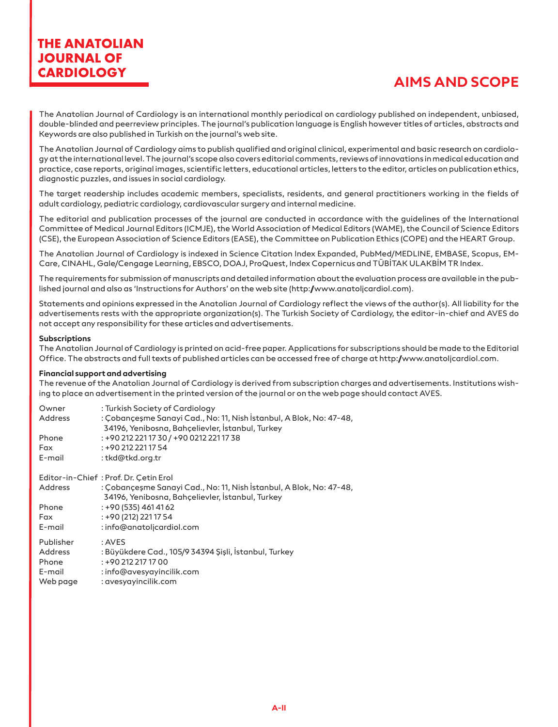# **AIMS AND SCOPE**

The Anatolian Journal of Cardiology is an international monthly periodical on cardiology published on independent, unbiased, double-blinded and peerreview principles. The journal's publication language is English however titles of articles, abstracts and Keywords are also published in Turkish on the journal's web site.

The Anatolian Journal of Cardiology aims to publish qualified and original clinical, experimental and basic research on cardiology at the international level. The journal's scope also covers editorial comments, reviews of innovations in medical education and practice, case reports, original images, scientific letters, educational articles, letters to the editor, articles on publication ethics, diagnostic puzzles, and issues in social cardiology.

The target readership includes academic members, specialists, residents, and general practitioners working in the fields of adult cardiology, pediatric cardiology, cardiovascular surgery and internal medicine.

The editorial and publication processes of the journal are conducted in accordance with the guidelines of the International Committee of Medical Journal Editors (ICMJE), the World Association of Medical Editors (WAME), the Council of Science Editors (CSE), the European Association of Science Editors (EASE), the Committee on Publication Ethics (COPE) and the HEART Group.

The Anatolian Journal of Cardiology is indexed in Science Citation Index Expanded, PubMed/MEDLINE, EMBASE, Scopus, EM-Care, CINAHL, Gale/Cengage Learning, EBSCO, DOAJ, ProQuest, Index Copernicus and TÜBİTAK ULAKBİM TR Index.

The requirements for submission of manuscripts and detailed information about the evaluation process are available in the published journal and also as 'Instructions for Authors' on the web site (http://www.anatoljcardiol.com).

Statements and opinions expressed in the Anatolian Journal of Cardiology reflect the views of the author(s). All liability for the advertisements rests with the appropriate organization(s). The Turkish Society of Cardiology, the editor-in-chief and AVES do not accept any responsibility for these articles and advertisements.

#### **Subscriptions**

The Anatolian Journal of Cardiology is printed on acid-free paper. Applications for subscriptions should be made to the Editorial Office. The abstracts and full texts of published articles can be accessed free of charge at http://www.anatoljcardiol.com.

#### **Financial support and advertising**

The revenue of the Anatolian Journal of Cardiology is derived from subscription charges and advertisements. Institutions wishing to place an advertisement in the printed version of the journal or on the web page should contact AVES.

| Owner          | : Turkish Society of Cardiology                                                                                         |  |  |
|----------------|-------------------------------------------------------------------------------------------------------------------------|--|--|
| <b>Address</b> | : Çobançeşme Sanayi Cad., No: 11, Nish İstanbul, A Blok, No: 47-48,                                                     |  |  |
|                | 34196, Yenibosna, Bahçelievler, İstanbul, Turkey                                                                        |  |  |
| Phone          | : +90 212 221 17 30 / +90 0212 221 17 38                                                                                |  |  |
| Fax            | $: +902122211754$                                                                                                       |  |  |
| E-mail         | : tkd@tkd.org.tr                                                                                                        |  |  |
|                | Editor-in-Chief: Prof. Dr. Cetin Erol                                                                                   |  |  |
| <b>Address</b> | : Çobançeşme Sanayi Cad., No: 11, Nish İstanbul, A Blok, No: 47-48,<br>34196. Yenibosna. Bahcelievler. İstanbul. Turkey |  |  |

|           | 34196, Yenibosna, Bahçelievler, İstanbul, Turkey      |
|-----------|-------------------------------------------------------|
| Phone     | $: +90(535)4614162$                                   |
| Fax       | : +90 (212) 221 17 54                                 |
| E-mail    | : info@anatoljcardiol.com                             |
| Publisher | : AVES                                                |
| Address   | : Büyükdere Cad., 105/9 34394 Şişli, İstanbul, Turkey |
| Phone     | $: +902122171700$                                     |
| E-mail    | : info@avesyayincilik.com                             |
| Web page  | : avesyayincilik.com                                  |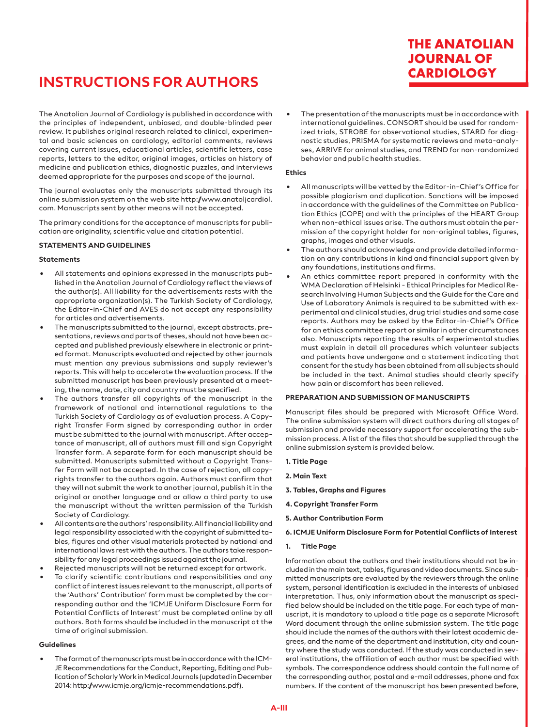# **INSTRUCTIONS FOR AUTHORS**

The Anatolian Journal of Cardiology is published in accordance with the principles of independent, unbiased, and double-blinded peer review. It publishes original research related to clinical, experimental and basic sciences on cardiology, editorial comments, reviews covering current issues, educational articles, scientific letters, case reports, letters to the editor, original images, articles on history of medicine and publication ethics, diagnostic puzzles, and interviews deemed appropriate for the purposes and scope of the journal.

The journal evaluates only the manuscripts submitted through its online submission system on the web site http://www.anatoljcardiol. com. Manuscripts sent by other means will not be accepted.

The primary conditions for the acceptance of manuscripts for publication are originality, scientific value and citation potential.

#### **STATEMENTS AND GUIDELINES**

#### **Statements**

- All statements and opinions expressed in the manuscripts published in the Anatolian Journal of Cardiology reflect the views of the author(s). All liability for the advertisements rests with the appropriate organization(s). The Turkish Society of Cardiology, the Editor-in-Chief and AVES do not accept any responsibility for articles and advertisements.
- The manuscripts submitted to the journal, except abstracts, presentations, reviews and parts of theses, should not have been accepted and published previously elsewhere in electronic or printed format. Manuscripts evaluated and rejected by other journals must mention any previous submissions and supply reviewer's reports. This will help to accelerate the evaluation process. If the submitted manuscript has been previously presented at a meeting, the name, date, city and country must be specified.
- The authors transfer all copyrights of the manuscript in the framework of national and international regulations to the Turkish Society of Cardiology as of evaluation process. A Copyright Transfer Form signed by corresponding author in order must be submitted to the journal with manuscript. After acceptance of manuscript, all of authors must fill and sign Copyright Transfer form. A separate form for each manuscript should be submitted. Manuscripts submitted without a Copyright Transfer Form will not be accepted. In the case of rejection, all copyrights transfer to the authors again. Authors must confirm that they will not submit the work to another journal, publish it in the original or another language and or allow a third party to use the manuscript without the written permission of the Turkish Society of Cardiology.
- All contents are the authors' responsibility. All financial liability and legal responsibility associated with the copyright of submitted tables, figures and other visual materials protected by national and international laws rest with the authors. The authors take responsibility for any legal proceedings issued against the journal.
- Rejected manuscripts will not be returned except for artwork.
- To clarify scientific contributions and responsibilities and any conflict of interest issues relevant to the manuscript, all parts of the 'Authors' Contribution' form must be completed by the corresponding author and the 'ICMJE Uniform Disclosure Form for Potential Conflicts of Interest' must be completed online by all authors. Both forms should be included in the manuscript at the time of original submission.

#### **Guidelines**

• The format of the manuscripts must be in accordance with the ICM-JE Recommendations for the Conduct, Reporting, Editing and Publication of Scholarly Work in Medical Journals (updated in December 2014: http://www.icmje.org/icmje-recommendations.pdf).

• The presentation of the manuscripts must be in accordance with international guidelines. CONSORT should be used for randomized trials, STROBE for observational studies, STARD for diagnostic studies, PRISMA for systematic reviews and meta-analyses, ARRIVE for animal studies, and TREND for non-randomized behavior and public health studies.

**THE ANATOLIAN JOURNAL OF CARDIOLOGY**

#### **Ethics**

- All manuscripts will be vetted by the Editor-in-Chief's Office for possible plagiarism and duplication. Sanctions will be imposed in accordance with the guidelines of the Committee on Publication Ethics (COPE) and with the principles of the HEART Group when non-ethical issues arise. The authors must obtain the permission of the copyright holder for non-original tables, figures, graphs, images and other visuals.
- The authors should acknowledge and provide detailed information on any contributions in kind and financial support given by any foundations, institutions and firms.
- An ethics committee report prepared in conformity with the WMA Declaration of Helsinki - Ethical Principles for Medical Research Involving Human Subjects and the Guide for the Care and Use of Laboratory Animals is required to be submitted with experimental and clinical studies, drug trial studies and some case reports. Authors may be asked by the Editor-in-Chief's Office for an ethics committee report or similar in other circumstances also. Manuscripts reporting the results of experimental studies must explain in detail all procedures which volunteer subjects and patients have undergone and a statement indicating that consent for the study has been obtained from all subjects should be included in the text. Animal studies should clearly specify how pain or discomfort has been relieved.

#### **PREPARATION AND SUBMISSION OF MANUSCRIPTS**

Manuscript files should be prepared with Microsoft Office Word. The online submission system will direct authors during all stages of submission and provide necessary support for accelerating the submission process. A list of the files that should be supplied through the online submission system is provided below.

- **1. Title Page**
- **2. Main Text**
- **3. Tables, Graphs and Figures**
- **4. Copyright Transfer Form**
- **5. Author Contribution Form**
- **6. ICMJE Uniform Disclosure Form for Potential Conflicts of Interest**

#### **1. Title Page**

Information about the authors and their institutions should not be included in the main text, tables, figures and video documents. Since submitted manuscripts are evaluated by the reviewers through the online system, personal identification is excluded in the interests of unbiased interpretation. Thus, only information about the manuscript as specified below should be included on the title page. For each type of manuscript, it is mandatory to upload a title page as a separate Microsoft Word document through the online submission system. The title page should include the names of the authors with their latest academic degrees, and the name of the department and institution, city and country where the study was conducted. If the study was conducted in several institutions, the affiliation of each author must be specified with symbols. The correspondence address should contain the full name of the corresponding author, postal and e-mail addresses, phone and fax numbers. If the content of the manuscript has been presented before,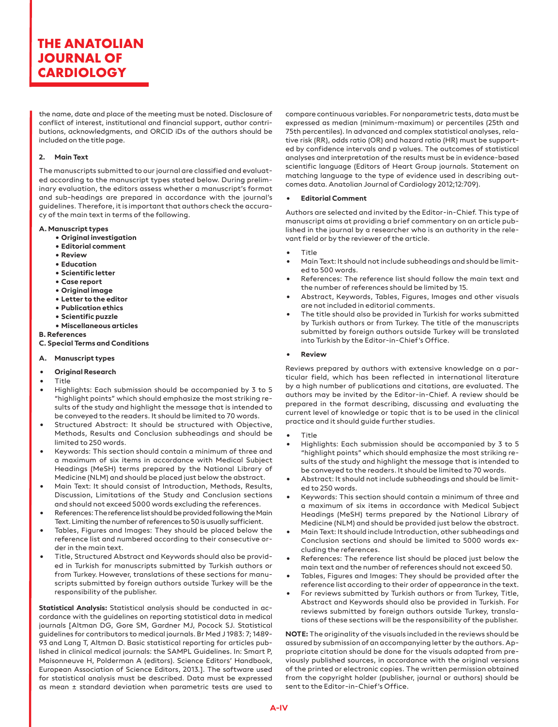the name, date and place of the meeting must be noted. Disclosure of conflict of interest, institutional and financial support, author contributions, acknowledgments, and ORCID iDs of the authors should be included on the title page.

#### **2. Main Text**

The manuscripts submitted to our journal are classified and evaluated according to the manuscript types stated below. During preliminary evaluation, the editors assess whether a manuscript's format and sub-headings are prepared in accordance with the journal's guidelines. Therefore, it is important that authors check the accuracy of the main text in terms of the following.

#### **A. Manuscript types**

- **Original investigation**
	- **Editorial comment**
	- **Review**
	- **Education**
	- **Scientific letter**
	- **Case report**
	- **Original image**
	- **Letter to the editor**
	- **Publication ethics**
	- **Scientific puzzle**
- **Miscellaneous articles**

**B. References**

**C. Special Terms and Conditions**

#### **A. Manuscript types**

- **• Original Research**
- Title
- Highlights: Each submission should be accompanied by 3 to 5 "highlight points" which should emphasize the most striking results of the study and highlight the message that is intended to be conveyed to the readers. It should be limited to 70 words.
- Structured Abstract: It should be structured with Objective, Methods, Results and Conclusion subheadings and should be limited to 250 words.
- Keywords: This section should contain a minimum of three and a maximum of six items in accordance with Medical Subject Headings (MeSH) terms prepared by the National Library of Medicine (NLM) and should be placed just below the abstract.
- Main Text: It should consist of Introduction, Methods, Results, Discussion, Limitations of the Study and Conclusion sections and should not exceed 5000 words excluding the references.
- References: The reference list should be provided following the Main Text. Limiting the number of references to 50 is usually sufficient.
- Tables, Figures and Images: They should be placed below the reference list and numbered according to their consecutive order in the main text.
- Title, Structured Abstract and Keywords should also be provided in Turkish for manuscripts submitted by Turkish authors or from Turkey. However, translations of these sections for manuscripts submitted by foreign authors outside Turkey will be the responsibility of the publisher.

**Statistical Analysis:** Statistical analysis should be conducted in accordance with the guidelines on reporting statistical data in medical journals [Altman DG, Gore SM, Gardner MJ, Pocock SJ. Statistical guidelines for contributors to medical journals. Br Med J 1983: 7; 1489- 93 and Lang T, Altman D. Basic statistical reporting for articles published in clinical medical journals: the SAMPL Guidelines. In: Smart P, Maisonneuve H, Polderman A (editors). Science Editors' Handbook, European Association of Science Editors, 2013.]. The software used for statistical analysis must be described. Data must be expressed as mean ± standard deviation when parametric tests are used to

compare continuous variables. For nonparametric tests, data must be expressed as median (minimum-maximum) or percentiles (25th and 75th percentiles). In advanced and complex statistical analyses, relative risk (RR), odds ratio (OR) and hazard ratio (HR) must be supported by confidence intervals and p values. The outcomes of statistical analyses and interpretation of the results must be in evidence-based scientific language (Editors of Heart Group journals. Statement on matching language to the type of evidence used in describing outcomes data. Anatolian Journal of Cardiology 2012;12:709).

#### **• Editorial Comment**

Authors are selected and invited by the Editor-in-Chief. This type of manuscript aims at providing a brief commentary on an article published in the journal by a researcher who is an authority in the relevant field or by the reviewer of the article.

#### • Title

- Main Text: It should not include subheadings and should be limited to 500 words.
- References: The reference list should follow the main text and the number of references should be limited by 15.
- Abstract, Keywords, Tables, Figures, Images and other visuals are not included in editorial comments.
- The title should also be provided in Turkish for works submitted by Turkish authors or from Turkey. The title of the manuscripts submitted by foreign authors outside Turkey will be translated into Turkish by the Editor-in-Chief's Office.

#### **• Review**

Reviews prepared by authors with extensive knowledge on a particular field, which has been reflected in international literature by a high number of publications and citations, are evaluated. The authors may be invited by the Editor-in-Chief. A review should be prepared in the format describing, discussing and evaluating the current level of knowledge or topic that is to be used in the clinical practice and it should guide further studies.

- **Title**
- Highlights: Each submission should be accompanied by 3 to 5 "highlight points" which should emphasize the most striking results of the study and highlight the message that is intended to be conveyed to the readers. It should be limited to 70 words.
- Abstract: It should not include subheadings and should be limited to 250 words.
- Keywords: This section should contain a minimum of three and a maximum of six items in accordance with Medical Subject Headings (MeSH) terms prepared by the National Library of Medicine (NLM) and should be provided just below the abstract.
- Main Text: It should include Introduction, other subheadings and Conclusion sections and should be limited to 5000 words excluding the references.
- References: The reference list should be placed just below the main text and the number of references should not exceed 50.
- Tables, Figures and Images: They should be provided after the reference list according to their order of appearance in the text.
- For reviews submitted by Turkish authors or from Turkey, Title, Abstract and Keywords should also be provided in Turkish. For reviews submitted by foreign authors outside Turkey, translations of these sections will be the responsibility of the publisher.

**NOTE:** The originality of the visuals included in the reviews should be assured by submission of an accompanying letter by the authors. Appropriate citation should be done for the visuals adapted from previously published sources, in accordance with the original versions of the printed or electronic copies. The written permission obtained from the copyright holder (publisher, journal or authors) should be sent to the Editor-in-Chief's Office.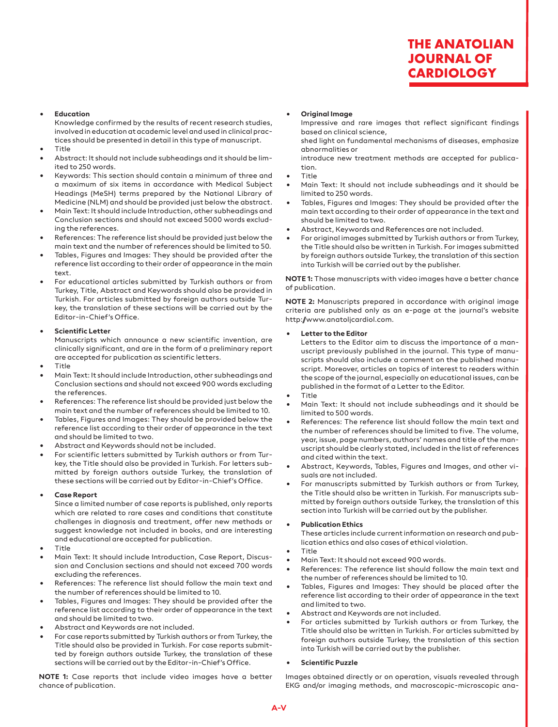#### **• Education**

Knowledge confirmed by the results of recent research studies, involved in education at academic level and used in clinical practices should be presented in detail in this type of manuscript.

- Title
- Abstract: It should not include subheadings and it should be limited to 250 words.
- Keywords: This section should contain a minimum of three and a maximum of six items in accordance with Medical Subject Headings (MeSH) terms prepared by the National Library of Medicine (NLM) and should be provided just below the abstract.
- Main Text: It should include Introduction, other subheadings and Conclusion sections and should not exceed 5000 words excluding the references.
- References: The reference list should be provided just below the main text and the number of references should be limited to 50.
- Tables, Figures and Images: They should be provided after the reference list according to their order of appearance in the main text.
- For educational articles submitted by Turkish authors or from Turkey, Title, Abstract and Keywords should also be provided in Turkish. For articles submitted by foreign authors outside Turkey, the translation of these sections will be carried out by the Editor-in-Chief's Office.

#### **• Scientific Letter**

Manuscripts which announce a new scientific invention, are clinically significant, and are in the form of a preliminary report are accepted for publication as scientific letters.

- Title
- Main Text: It should include Introduction, other subheadings and Conclusion sections and should not exceed 900 words excluding the references.
- References: The reference list should be provided just below the main text and the number of references should be limited to 10.
- Tables, Figures and Images: They should be provided below the reference list according to their order of appearance in the text and should be limited to two.
- Abstract and Keywords should not be included.
- For scientific letters submitted by Turkish authors or from Turkey, the Title should also be provided in Turkish. For letters submitted by foreign authors outside Turkey, the translation of these sections will be carried out by Editor-in-Chief's Office.

#### **• Case Report**

Since a limited number of case reports is published, only reports which are related to rare cases and conditions that constitute challenges in diagnosis and treatment, offer new methods or suggest knowledge not included in books, and are interesting and educational are accepted for publication.

- Title
- Main Text: It should include Introduction, Case Report, Discussion and Conclusion sections and should not exceed 700 words excluding the references.
- References: The reference list should follow the main text and the number of references should be limited to 10.
- Tables, Figures and Images: They should be provided after the reference list according to their order of appearance in the text and should be limited to two.
- Abstract and Keywords are not included.
- For case reports submitted by Turkish authors or from Turkey, the Title should also be provided in Turkish. For case reports submitted by foreign authors outside Turkey, the translation of these sections will be carried out by the Editor-in-Chief's Office.

**NOTE 1:** Case reports that include video images have a better chance of publication.

#### **• Original Image**

Impressive and rare images that reflect significant findings based on clinical science,

shed light on fundamental mechanisms of diseases, emphasize abnormalities or

introduce new treatment methods are accepted for publication.

- Title
- Main Text: It should not include subheadings and it should be limited to 250 words.
- Tables, Figures and Images: They should be provided after the main text according to their order of appearance in the text and should be limited to two.
- Abstract, Keywords and References are not included.
- For original images submitted by Turkish authors or from Turkey, the Title should also be written in Turkish. For images submitted by foreign authors outside Turkey, the translation of this section into Turkish will be carried out by the publisher.

**NOTE 1:** Those manuscripts with video images have a better chance of publication.

**NOTE 2:** Manuscripts prepared in accordance with original image criteria are published only as an e-page at the journal's website http://www.anatoljcardiol.com.

#### **• Letter to the Editor**

Letters to the Editor aim to discuss the importance of a manuscript previously published in the journal. This type of manuscripts should also include a comment on the published manuscript. Moreover, articles on topics of interest to readers within the scope of the journal, especially on educational issues, can be published in the format of a Letter to the Editor.

- Title
- Main Text: It should not include subheadings and it should be limited to 500 words.
- References: The reference list should follow the main text and the number of references should be limited to five. The volume, year, issue, page numbers, authors' names and title of the manuscript should be clearly stated, included in the list of references and cited within the text.
- Abstract, Keywords, Tables, Figures and Images, and other visuals are not included.
- For manuscripts submitted by Turkish authors or from Turkey, the Title should also be written in Turkish. For manuscripts submitted by foreign authors outside Turkey, the translation of this section into Turkish will be carried out by the publisher.

#### **• Publication Ethics**

These articles include current information on research and publication ethics and also cases of ethical violation.

- Title
- Main Text: It should not exceed 900 words.
- References: The reference list should follow the main text and the number of references should be limited to 10.
- Tables, Figures and Images: They should be placed after the reference list according to their order of appearance in the text and limited to two.
- Abstract and Keywords are not included.
- For articles submitted by Turkish authors or from Turkey, the Title should also be written in Turkish. For articles submitted by foreign authors outside Turkey, the translation of this section into Turkish will be carried out by the publisher.

#### **• Scientific Puzzle**

Images obtained directly or on operation, visuals revealed through EKG and/or imaging methods, and macroscopic-microscopic ana-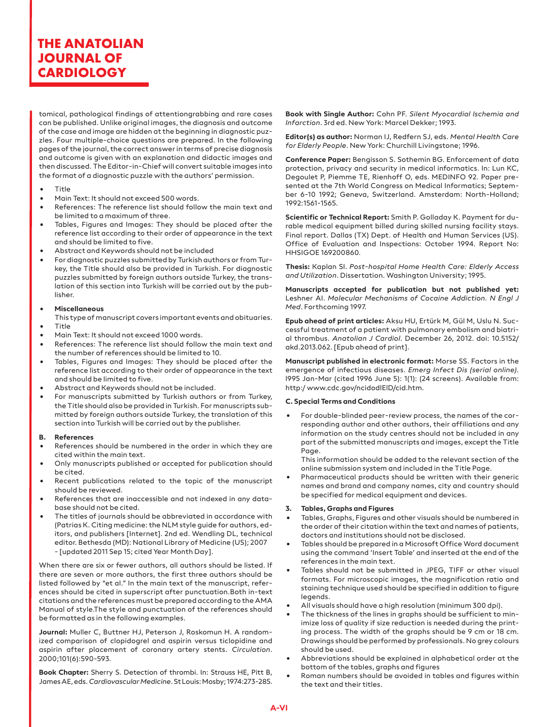tomical, pathological findings of attentiongrabbing and rare cases can be published. Unlike original images, the diagnosis and outcome of the case and image are hidden at the beginning in diagnostic puzzles. Four multiple-choice questions are prepared. In the following pages of the journal, the correct answer in terms of precise diagnosis and outcome is given with an explanation and didactic images and then discussed. The Editor-in-Chief will convert suitable images into the format of a diagnostic puzzle with the authors' permission.

- Title
- Main Text: It should not exceed 500 words.
- References: The reference list should follow the main text and be limited to a maximum of three.
- Tables, Figures and Images: They should be placed after the reference list according to their order of appearance in the text and should be limited to five.
- Abstract and Keywords should not be included
- For diagnostic puzzles submitted by Turkish authors or from Turkey, the Title should also be provided in Turkish. For diagnostic puzzles submitted by foreign authors outside Turkey, the translation of this section into Turkish will be carried out by the publisher.

#### **• Miscellaneous**

- This type of manuscript covers important events and obituaries. • Title
- Main Text: It should not exceed 1000 words.
- References: The reference list should follow the main text and the number of references should be limited to 10.
- Tables, Figures and Images: They should be placed after the reference list according to their order of appearance in the text and should be limited to five.
- Abstract and Keywords should not be included.
- For manuscripts submitted by Turkish authors or from Turkey, the Title should also be provided in Turkish. For manuscripts submitted by foreign authors outside Turkey, the translation of this section into Turkish will be carried out by the publisher.

#### **B. References**

- References should be numbered in the order in which they are cited within the main text.
- Only manuscripts published or accepted for publication should be cited.
- Recent publications related to the topic of the manuscript should be reviewed.
- References that are inaccessible and not indexed in any database should not be cited.
- The titles of journals should be abbreviated in accordance with (Patrias K. Citing medicine: the NLM style guide for authors, editors, and publishers [Internet]. 2nd ed. Wendling DL, technical editor. Bethesda (MD): National Library of Medicine (US); 2007 - [updated 2011 Sep 15; cited Year Month Day].
- When there are six or fewer authors, all authors should be listed. If there are seven or more authors, the first three authors should be listed followed by "et al." In the main text of the manuscript, references should be cited in superscript after punctuation.Both in-text citations and the references must be prepared according to the AMA Manual of style.The style and punctuation of the references should be formatted as in the following examples.

**Journal:** Muller C, Buttner HJ, Peterson J, Roskomun H. A randomized comparison of clopidogrel and aspirin versus ticlopidine and aspirin after placement of coronary artery stents. *Circulation*. 2000;101(6):590-593.

**Book Chapter:** Sherry S. Detection of thrombi. In: Strauss HE, Pitt B, James AE, eds. *Cardiovascular Medicine*. St Louis: Mosby; 1974:273-285.

**Book with Single Author:** Cohn PF. *Silent Myocardial Ischemia and Infarction*. 3rd ed. New York: Marcel Dekker; 1993.

**Editor(s) as author:** Norman IJ, Redfern SJ, eds. *Mental Health Care for Elderly People*. New York: Churchill Livingstone; 1996.

**Conference Paper:** Bengisson S. Sothemin BG. Enforcement of data protection, privacy and security in medical informatics. In: Lun KC, Degoulet P, Piemme TE, Rienhoff O, eds. MEDINFO 92. Paper presented at the 7th World Congress on Medical Informatics; September 6-10 1992; Geneva, Switzerland. Amsterdam: North-Holland; 1992:1561-1565.

**Scientific or Technical Report:** Smith P. Golladay K. Payment for durable medical equipment billed during skilled nursing facility stays. Final report. Dallas (TX) Dept. of Health and Human Services (US). Office of Evaluation and Inspections: October 1994. Report No: HHSIGOE 169200860.

**Thesis:** Kaplan SI. *Post-hospital Home Health Care: Elderly Access and Utilization*. Dissertation. Washington University; 1995.

**Manuscripts accepted for publication but not published yet:** Leshner AI. *Molecular Mechanisms of Cocaine Addiction. N Engl J Med*. Forthcoming 1997.

**Epub ahead of print articles:** Aksu HU, Ertürk M, Gül M, Uslu N. Successful treatment of a patient with pulmonary embolism and biatrial thrombus. *Anatolian J Cardiol*. December 26, 2012. doi: 10.5152/ akd.2013.062. [Epub ahead of print].

**Manuscript published in electronic format:** Morse SS. Factors in the emergence of infectious diseases. *Emerg Infect Dis (serial online)*. l995 Jan-Mar (cited 1996 June 5): 1(1): (24 screens). Available from: http:/ www.cdc.gov/ncidodlElD/cid.htm.

#### **C. Special Terms and Conditions**

• For double-blinded peer-review process, the names of the corresponding author and other authors, their affiliations and any information on the study centres should not be included in any part of the submitted manuscripts and images, except the Title Page.

This information should be added to the relevant section of the online submission system and included in the Title Page.

Pharmaceutical products should be written with their generic names and brand and company names, city and country should be specified for medical equipment and devices.

#### **3. Tables, Graphs and Figures**

- Tables, Graphs, Figures and other visuals should be numbered in the order of their citation within the text and names of patients, doctors and institutions should not be disclosed.
- Tables should be prepared in a Microsoft Office Word document using the command 'Insert Table' and inserted at the end of the references in the main text.
- Tables should not be submitted in JPEG, TIFF or other visual formats. For microscopic images, the magnification ratio and staining technique used should be specified in addition to figure legends.
- All visuals should have a high resolution (minimum 300 dpi).
- The thickness of the lines in graphs should be sufficient to minimize loss of quality if size reduction is needed during the printing process. The width of the graphs should be 9 cm or 18 cm. Drawings should be performed by professionals. No grey colours should be used.
- Abbreviations should be explained in alphabetical order at the bottom of the tables, graphs and figures
- Roman numbers should be avoided in tables and figures within the text and their titles.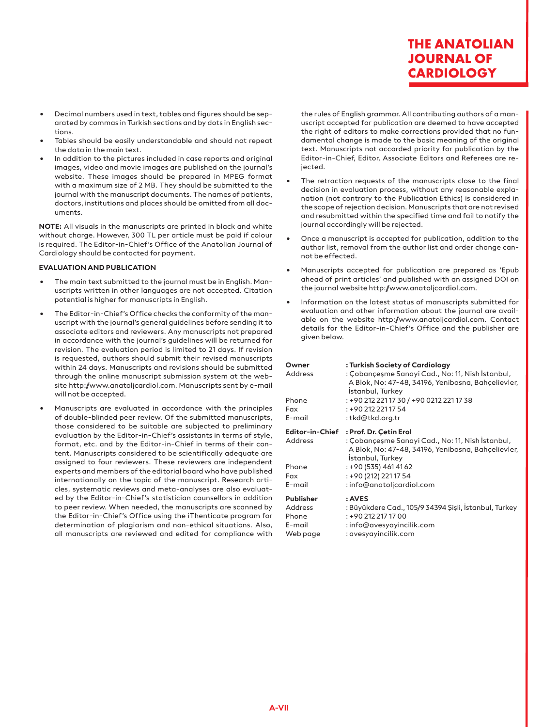- Decimal numbers used in text, tables and figures should be separated by commas in Turkish sections and by dots in English sections.
- Tables should be easily understandable and should not repeat the data in the main text.
- In addition to the pictures included in case reports and original images, video and movie images are published on the journal's website. These images should be prepared in MPEG format with a maximum size of 2 MB. They should be submitted to the journal with the manuscript documents. The names of patients, doctors, institutions and places should be omitted from all documents.

**NOTE:** All visuals in the manuscripts are printed in black and white without charge. However, 300 TL per article must be paid if colour is required. The Editor-in-Chief's Office of the Anatolian Journal of Cardiology should be contacted for payment.

#### **EVALUATION AND PUBLICATION**

- The main text submitted to the journal must be in English. Manuscripts written in other languages are not accepted. Citation potential is higher for manuscripts in English.
- The Editor-in-Chief's Office checks the conformity of the manuscript with the journal's general guidelines before sending it to associate editors and reviewers. Any manuscripts not prepared in accordance with the journal's guidelines will be returned for revision. The evaluation period is limited to 21 days. If revision is requested, authors should submit their revised manuscripts within 24 days. Manuscripts and revisions should be submitted through the online manuscript submission system at the website http://www.anatoljcardiol.com. Manuscripts sent by e-mail will not be accepted.
- Manuscripts are evaluated in accordance with the principles of double-blinded peer review. Of the submitted manuscripts, those considered to be suitable are subjected to preliminary evaluation by the Editor-in-Chief's assistants in terms of style, format, etc. and by the Editor-in-Chief in terms of their content. Manuscripts considered to be scientifically adequate are assigned to four reviewers. These reviewers are independent experts and members of the editorial board who have published internationally on the topic of the manuscript. Research articles, systematic reviews and meta-analyses are also evaluated by the Editor-in-Chief's statistician counsellors in addition to peer review. When needed, the manuscripts are scanned by the Editor-in-Chief's Office using the iThenticate program for determination of plagiarism and non-ethical situations. Also, all manuscripts are reviewed and edited for compliance with

the rules of English grammar. All contributing authors of a manuscript accepted for publication are deemed to have accepted the right of editors to make corrections provided that no fundamental change is made to the basic meaning of the original text. Manuscripts not accorded priority for publication by the Editor-in-Chief, Editor, Associate Editors and Referees are rejected.

- The retraction requests of the manuscripts close to the final decision in evaluation process, without any reasonable explanation (not contrary to the Publication Ethics) is considered in the scope of rejection decision. Manuscripts that are not revised and resubmitted within the specified time and fail to notify the journal accordingly will be rejected.
- Once a manuscript is accepted for publication, addition to the author list, removal from the author list and order change cannot be effected.
- Manuscripts accepted for publication are prepared as 'Epub ahead of print articles' and published with an assigned DOI on the journal website http://www.anatoljcardiol.com.
- Information on the latest status of manuscripts submitted for evaluation and other information about the journal are available on the website http://www.anatoljcardiol.com. Contact details for the Editor-in-Chief's Office and the publisher are given below.

| Owner<br>Address<br>Phone<br>Fax<br>E-mail                  | : Turkish Society of Cardiology<br>: Çobançeşme Sanayi Cad., No: 11, Nish İstanbul,<br>A Blok, No: 47-48, 34196, Yenibosna, Bahçelievler,<br>Istanbul, Turkey<br>: +90 212 221 17 30 / +90 0212 221 17 38<br>: +90 212 221 17 54<br>: tkd@tkd.org.tr |
|-------------------------------------------------------------|------------------------------------------------------------------------------------------------------------------------------------------------------------------------------------------------------------------------------------------------------|
| <b>Editor-in-Chief</b><br>Address<br>Phone<br>Fax<br>E-mail | : Prof. Dr. Çetin Erol<br>: Çobançeşme Sanayi Cad., No: 11, Nish İstanbul,<br>A Blok, No: 47-48, 34196, Yenibosna, Bahçelievler,<br>Istanbul, Turkey<br>: +90 (535) 461 41 62<br>: +90 (212) 221 17 54<br>: info@anatoljcardiol.com                  |
| <b>Publisher</b><br>Address<br>Phone<br>E-mail<br>Web page  | : AVES<br>: Büyükdere Cad., 105/9 34394 Şişli, İstanbul, Turkey<br>: +90 212 217 17 00<br>: info@avesyayincilik.com<br>: avesyayincilik.com                                                                                                          |